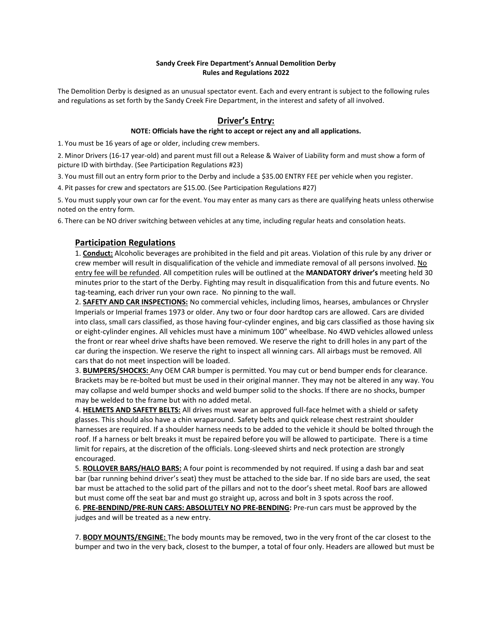#### **Sandy Creek Fire Department's Annual Demolition Derby Rules and Regulations 2022**

The Demolition Derby is designed as an unusual spectator event. Each and every entrant is subject to the following rules and regulations as set forth by the Sandy Creek Fire Department, in the interest and safety of all involved.

### **Driver's Entry:**

#### **NOTE: Officials have the right to accept or reject any and all applications.**

1. You must be 16 years of age or older, including crew members.

2. Minor Drivers (16-17 year-old) and parent must fill out a Release & Waiver of Liability form and must show a form of picture ID with birthday. (See Participation Regulations #23)

3. You must fill out an entry form prior to the Derby and include a \$35.00 ENTRY FEE per vehicle when you register.

4. Pit passes for crew and spectators are \$15.00. (See Participation Regulations #27)

5. You must supply your own car for the event. You may enter as many cars as there are qualifying heats unless otherwise noted on the entry form.

6. There can be NO driver switching between vehicles at any time, including regular heats and consolation heats.

### **Participation Regulations**

1. **Conduct:** Alcoholic beverages are prohibited in the field and pit areas. Violation of this rule by any driver or crew member will result in disqualification of the vehicle and immediate removal of all persons involved. No entry fee will be refunded. All competition rules will be outlined at the **MANDATORY driver's** meeting held 30 minutes prior to the start of the Derby. Fighting may result in disqualification from this and future events. No tag-teaming, each driver run your own race. No pinning to the wall.

2. **SAFETY AND CAR INSPECTIONS:** No commercial vehicles, including limos, hearses, ambulances or Chrysler Imperials or Imperial frames 1973 or older. Any two or four door hardtop cars are allowed. Cars are divided into class, small cars classified, as those having four-cylinder engines, and big cars classified as those having six or eight-cylinder engines. All vehicles must have a minimum 100" wheelbase. No 4WD vehicles allowed unless the front or rear wheel drive shafts have been removed. We reserve the right to drill holes in any part of the car during the inspection. We reserve the right to inspect all winning cars. All airbags must be removed. All cars that do not meet inspection will be loaded.

3. **BUMPERS/SHOCKS:** Any OEM CAR bumper is permitted. You may cut or bend bumper ends for clearance. Brackets may be re-bolted but must be used in their original manner. They may not be altered in any way. You may collapse and weld bumper shocks and weld bumper solid to the shocks. If there are no shocks, bumper may be welded to the frame but with no added metal.

4. **HELMETS AND SAFETY BELTS:** All drives must wear an approved full-face helmet with a shield or safety glasses. This should also have a chin wraparound. Safety belts and quick release chest restraint shoulder harnesses are required. If a shoulder harness needs to be added to the vehicle it should be bolted through the roof. If a harness or belt breaks it must be repaired before you will be allowed to participate. There is a time limit for repairs, at the discretion of the officials. Long-sleeved shirts and neck protection are strongly encouraged.

5. **ROLLOVER BARS/HALO BARS:** A four point is recommended by not required. If using a dash bar and seat bar (bar running behind driver's seat) they must be attached to the side bar. If no side bars are used, the seat bar must be attached to the solid part of the pillars and not to the door's sheet metal. Roof bars are allowed but must come off the seat bar and must go straight up, across and bolt in 3 spots across the roof.

6. **PRE-BENDIND/PRE-RUN CARS: ABSOLUTELY NO PRE-BENDING:** Pre-run cars must be approved by the judges and will be treated as a new entry.

7. **BODY MOUNTS/ENGINE:** The body mounts may be removed, two in the very front of the car closest to the bumper and two in the very back, closest to the bumper, a total of four only. Headers are allowed but must be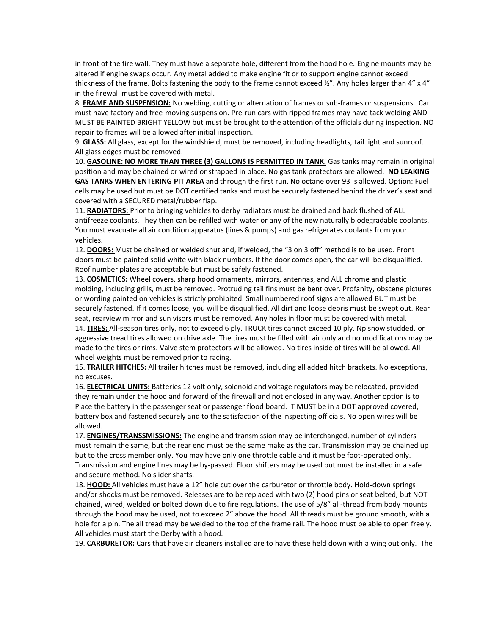in front of the fire wall. They must have a separate hole, different from the hood hole. Engine mounts may be altered if engine swaps occur. Any metal added to make engine fit or to support engine cannot exceed thickness of the frame. Bolts fastening the body to the frame cannot exceed  $\frac{1}{2}$ ". Any holes larger than  $4$ " x  $4$ " in the firewall must be covered with metal.

8. **FRAME AND SUSPENSION:** No welding, cutting or alternation of frames or sub-frames or suspensions. Car must have factory and free-moving suspension. Pre-run cars with ripped frames may have tack welding AND MUST BE PAINTED BRIGHT YELLOW but must be brought to the attention of the officials during inspection. NO repair to frames will be allowed after initial inspection.

9. **GLASS:** All glass, except for the windshield, must be removed, including headlights, tail light and sunroof. All glass edges must be removed.

10. **GASOLINE: NO MORE THAN THREE (3) GALLONS IS PERMITTED IN TANK.** Gas tanks may remain in original position and may be chained or wired or strapped in place. No gas tank protectors are allowed. **NO LEAKING GAS TANKS WHEN ENTERING PIT AREA** and through the first run. No octane over 93 is allowed. Option: Fuel cells may be used but must be DOT certified tanks and must be securely fastened behind the driver's seat and covered with a SECURED metal/rubber flap.

11. **RADIATORS:** Prior to bringing vehicles to derby radiators must be drained and back flushed of ALL antifreeze coolants. They then can be refilled with water or any of the new naturally biodegradable coolants. You must evacuate all air condition apparatus (lines & pumps) and gas refrigerates coolants from your vehicles.

12. **DOORS:** Must be chained or welded shut and, if welded, the "3 on 3 off" method is to be used. Front doors must be painted solid white with black numbers. If the door comes open, the car will be disqualified. Roof number plates are acceptable but must be safely fastened.

13. **COSMETICS:** Wheel covers, sharp hood ornaments, mirrors, antennas, and ALL chrome and plastic molding, including grills, must be removed. Protruding tail fins must be bent over. Profanity, obscene pictures or wording painted on vehicles is strictly prohibited. Small numbered roof signs are allowed BUT must be securely fastened. If it comes loose, you will be disqualified. All dirt and loose debris must be swept out. Rear seat, rearview mirror and sun visors must be removed. Any holes in floor must be covered with metal.

14. **TIRES:** All-season tires only, not to exceed 6 ply. TRUCK tires cannot exceed 10 ply. Np snow studded, or aggressive tread tires allowed on drive axle. The tires must be filled with air only and no modifications may be made to the tires or rims. Valve stem protectors will be allowed. No tires inside of tires will be allowed. All wheel weights must be removed prior to racing.

15. **TRAILER HITCHES:** All trailer hitches must be removed, including all added hitch brackets. No exceptions, no excuses.

16. **ELECTRICAL UNITS:** Batteries 12 volt only, solenoid and voltage regulators may be relocated, provided they remain under the hood and forward of the firewall and not enclosed in any way. Another option is to Place the battery in the passenger seat or passenger flood board. IT MUST be in a DOT approved covered, battery box and fastened securely and to the satisfaction of the inspecting officials. No open wires will be allowed.

17. **ENGINES/TRANSSMISSIONS:** The engine and transmission may be interchanged, number of cylinders must remain the same, but the rear end must be the same make as the car. Transmission may be chained up but to the cross member only. You may have only one throttle cable and it must be foot-operated only. Transmission and engine lines may be by-passed. Floor shifters may be used but must be installed in a safe and secure method. No slider shafts.

18. **HOOD:** All vehicles must have a 12" hole cut over the carburetor or throttle body. Hold-down springs and/or shocks must be removed. Releases are to be replaced with two (2) hood pins or seat belted, but NOT chained, wired, welded or bolted down due to fire regulations. The use of 5/8" all-thread from body mounts through the hood may be used, not to exceed 2" above the hood. All threads must be ground smooth, with a hole for a pin. The all tread may be welded to the top of the frame rail. The hood must be able to open freely. All vehicles must start the Derby with a hood.

19. **CARBURETOR:** Cars that have air cleaners installed are to have these held down with a wing out only. The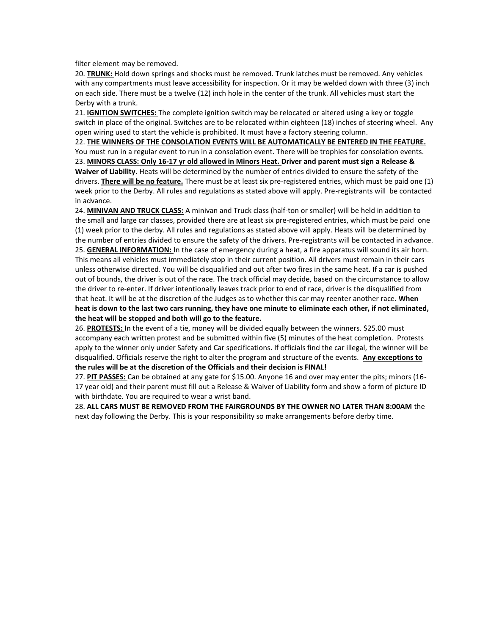filter element may be removed.

20. **TRUNK:** Hold down springs and shocks must be removed. Trunk latches must be removed. Any vehicles with any compartments must leave accessibility for inspection. Or it may be welded down with three (3) inch on each side. There must be a twelve (12) inch hole in the center of the trunk. All vehicles must start the Derby with a trunk.

21. **IGNITION SWITCHES:** The complete ignition switch may be relocated or altered using a key or toggle switch in place of the original. Switches are to be relocated within eighteen (18) inches of steering wheel. Any open wiring used to start the vehicle is prohibited. It must have a factory steering column.

22. **THE WINNERS OF THE CONSOLATION EVENTS WILL BE AUTOMATICALLY BE ENTERED IN THE FEATURE.** 

You must run in a regular event to run in a consolation event. There will be trophies for consolation events. 23. **MINORS CLASS: Only 16-17 yr old allowed in Minors Heat. Driver and parent must sign a Release & Waiver of Liability.** Heats will be determined by the number of entries divided to ensure the safety of the drivers. **There will be no feature.** There must be at least six pre-registered entries, which must be paid one (1) week prior to the Derby. All rules and regulations as stated above will apply. Pre-registrants will be contacted in advance.

24. **MINIVAN AND TRUCK CLASS:** A minivan and Truck class (half-ton or smaller) will be held in addition to the small and large car classes, provided there are at least six pre-registered entries, which must be paid one (1) week prior to the derby. All rules and regulations as stated above will apply. Heats will be determined by the number of entries divided to ensure the safety of the drivers. Pre-registrants will be contacted in advance. 25. **GENERAL INFORMATION:** In the case of emergency during a heat, a fire apparatus will sound its air horn. This means all vehicles must immediately stop in their current position. All drivers must remain in their cars unless otherwise directed. You will be disqualified and out after two fires in the same heat. If a car is pushed out of bounds, the driver is out of the race. The track official may decide, based on the circumstance to allow the driver to re-enter. If driver intentionally leaves track prior to end of race, driver is the disqualified from that heat. It will be at the discretion of the Judges as to whether this car may reenter another race. **When heat is down to the last two cars running, they have one minute to eliminate each other, if not eliminated, the heat will be stopped and both will go to the feature.** 

26. **PROTESTS:** In the event of a tie, money will be divided equally between the winners. \$25.00 must accompany each written protest and be submitted within five (5) minutes of the heat completion. Protests apply to the winner only under Safety and Car specifications. If officials find the car illegal, the winner will be disqualified. Officials reserve the right to alter the program and structure of the events. **Any exceptions to the rules will be at the discretion of the Officials and their decision is FINAL!**

27. **PIT PASSES:** Can be obtained at any gate for \$15.00. Anyone 16 and over may enter the pits; minors (16- 17 year old) and their parent must fill out a Release & Waiver of Liability form and show a form of picture ID with birthdate. You are required to wear a wrist band.

28. **ALL CARS MUST BE REMOVED FROM THE FAIRGROUNDS BY THE OWNER NO LATER THAN 8:00AM** the next day following the Derby. This is your responsibility so make arrangements before derby time.